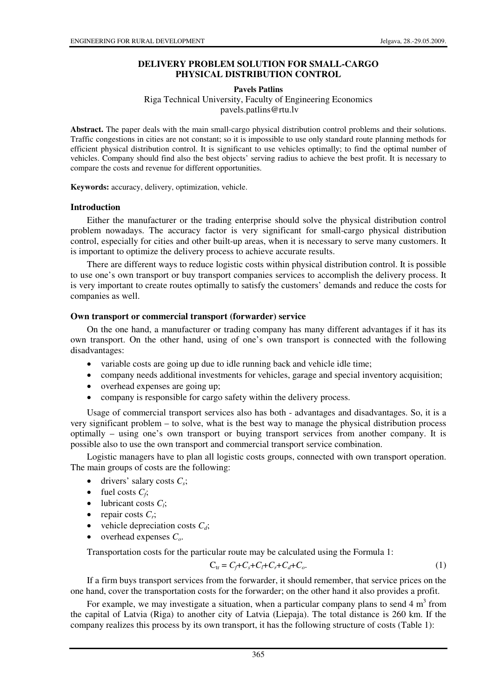# **DELIVERY PROBLEM SOLUTION FOR SMALL-CARGO PHYSICAL DISTRIBUTION CONTROL**

### **Pavels Patlins**

Riga Technical University, Faculty of Engineering Economics pavels.patlins@rtu.lv

**Abstract.** The paper deals with the main small-cargo physical distribution control problems and their solutions. Traffic congestions in cities are not constant; so it is impossible to use only standard route planning methods for efficient physical distribution control. It is significant to use vehicles optimally; to find the optimal number of vehicles. Company should find also the best objects' serving radius to achieve the best profit. It is necessary to compare the costs and revenue for different opportunities.

**Keywords:** accuracy, delivery, optimization, vehicle.

## **Introduction**

Either the manufacturer or the trading enterprise should solve the physical distribution control problem nowadays. The accuracy factor is very significant for small-cargo physical distribution control, especially for cities and other built-up areas, when it is necessary to serve many customers. It is important to optimize the delivery process to achieve accurate results.

There are different ways to reduce logistic costs within physical distribution control. It is possible to use one's own transport or buy transport companies services to accomplish the delivery process. It is very important to create routes optimally to satisfy the customers' demands and reduce the costs for companies as well.

## **Own transport or commercial transport (forwarder) service**

On the one hand, a manufacturer or trading company has many different advantages if it has its own transport. On the other hand, using of one's own transport is connected with the following disadvantages:

- variable costs are going up due to idle running back and vehicle idle time;
- company needs additional investments for vehicles, garage and special inventory acquisition;
- overhead expenses are going up;
- company is responsible for cargo safety within the delivery process.

Usage of commercial transport services also has both - advantages and disadvantages. So, it is a very significant problem – to solve, what is the best way to manage the physical distribution process optimally – using one's own transport or buying transport services from another company. It is possible also to use the own transport and commercial transport service combination.

Logistic managers have to plan all logistic costs groups, connected with own transport operation. The main groups of costs are the following:

- $\bullet$  drivers' salary costs  $C_s$ ;
- fuel costs  $C_f$ ;
- lubricant costs  $C_i$ ;
- repair costs  $C_r$ ;
- vehicle depreciation costs  $C_d$ ;
- overhead expenses *Co*.

Transportation costs for the particular route may be calculated using the Formula 1:

$$
C_{tr} = C_f + C_s + C_r + C_c + C_o. \tag{1}
$$

If a firm buys transport services from the forwarder, it should remember, that service prices on the one hand, cover the transportation costs for the forwarder; on the other hand it also provides a profit.

For example, we may investigate a situation, when a particular company plans to send  $4 \text{ m}^3$  from the capital of Latvia (Riga) to another city of Latvia (Liepaja). The total distance is 260 km. If the company realizes this process by its own transport, it has the following structure of costs (Table 1):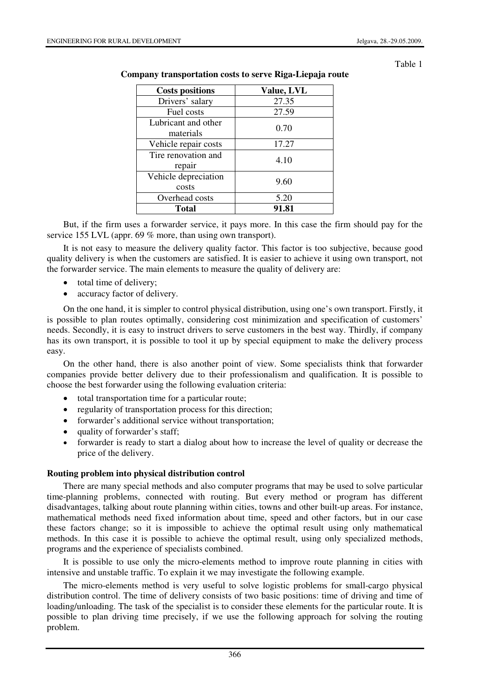Table 1

| <b>Costs positions</b>           | Value, LVL |  |  |  |
|----------------------------------|------------|--|--|--|
| Drivers' salary                  | 27.35      |  |  |  |
| Fuel costs                       | 27.59      |  |  |  |
| Lubricant and other<br>materials | 0.70       |  |  |  |
| Vehicle repair costs             | 17.27      |  |  |  |
| Tire renovation and<br>repair    | 4.10       |  |  |  |
| Vehicle depreciation<br>costs    | 9.60       |  |  |  |
| Overhead costs                   | 5.20       |  |  |  |
| Total                            | 91.81      |  |  |  |

### **Company transportation costs to serve Riga-Liepaja route**

But, if the firm uses a forwarder service, it pays more. In this case the firm should pay for the service 155 LVL (appr. 69 % more, than using own transport).

It is not easy to measure the delivery quality factor. This factor is too subjective, because good quality delivery is when the customers are satisfied. It is easier to achieve it using own transport, not the forwarder service. The main elements to measure the quality of delivery are:

- total time of delivery;
- accuracy factor of delivery.

On the one hand, it is simpler to control physical distribution, using one's own transport. Firstly, it is possible to plan routes optimally, considering cost minimization and specification of customers' needs. Secondly, it is easy to instruct drivers to serve customers in the best way. Thirdly, if company has its own transport, it is possible to tool it up by special equipment to make the delivery process easy.

On the other hand, there is also another point of view. Some specialists think that forwarder companies provide better delivery due to their professionalism and qualification. It is possible to choose the best forwarder using the following evaluation criteria:

- total transportation time for a particular route;
- regularity of transportation process for this direction;
- forwarder's additional service without transportation;
- quality of forwarder's staff;
- forwarder is ready to start a dialog about how to increase the level of quality or decrease the price of the delivery.

### **Routing problem into physical distribution control**

There are many special methods and also computer programs that may be used to solve particular time-planning problems, connected with routing. But every method or program has different disadvantages, talking about route planning within cities, towns and other built-up areas. For instance, mathematical methods need fixed information about time, speed and other factors, but in our case these factors change; so it is impossible to achieve the optimal result using only mathematical methods. In this case it is possible to achieve the optimal result, using only specialized methods, programs and the experience of specialists combined.

It is possible to use only the micro-elements method to improve route planning in cities with intensive and unstable traffic. To explain it we may investigate the following example.

The micro-elements method is very useful to solve logistic problems for small-cargo physical distribution control. The time of delivery consists of two basic positions: time of driving and time of loading/unloading. The task of the specialist is to consider these elements for the particular route. It is possible to plan driving time precisely, if we use the following approach for solving the routing problem.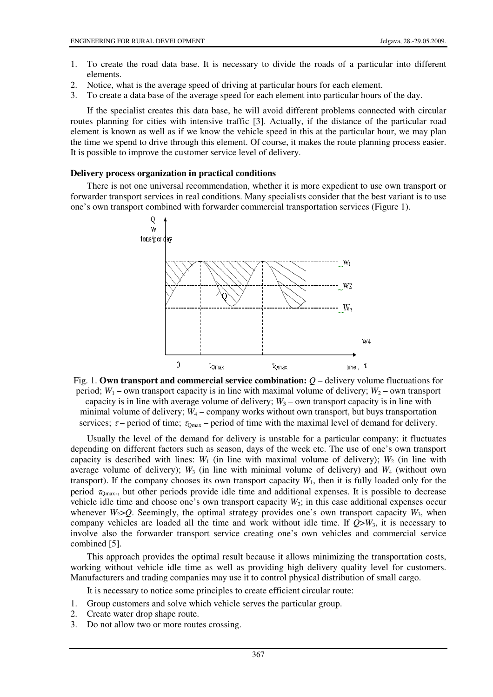- 1. To create the road data base. It is necessary to divide the roads of a particular into different elements.
- 2. Notice, what is the average speed of driving at particular hours for each element.
- 3. To create a data base of the average speed for each element into particular hours of the day.

If the specialist creates this data base, he will avoid different problems connected with circular routes planning for cities with intensive traffic [3]. Actually, if the distance of the particular road element is known as well as if we know the vehicle speed in this at the particular hour, we may plan the time we spend to drive through this element. Of course, it makes the route planning process easier. It is possible to improve the customer service level of delivery.

#### **Delivery process organization in practical conditions**

There is not one universal recommendation, whether it is more expedient to use own transport or forwarder transport services in real conditions. Many specialists consider that the best variant is to use one's own transport combined with forwarder commercial transportation services (Figure 1).



Fig. 1. **Own transport and commercial service combination:**  $Q$  – delivery volume fluctuations for period;  $W_1$  – own transport capacity is in line with maximal volume of delivery;  $W_2$  – own transport capacity is in line with average volume of delivery;  $W_3$  – own transport capacity is in line with minimal volume of delivery;  $W_4$  – company works without own transport, but buys transportation services;  $\tau$  – period of time;  $\tau_{\text{Omax}}$  – period of time with the maximal level of demand for delivery.

Usually the level of the demand for delivery is unstable for a particular company: it fluctuates depending on different factors such as season, days of the week etc. The use of one's own transport capacity is described with lines:  $W_1$  (in line with maximal volume of delivery);  $W_2$  (in line with average volume of delivery);  $W_3$  (in line with minimal volume of delivery) and  $W_4$  (without own transport). If the company chooses its own transport capacity  $W<sub>1</sub>$ , then it is fully loaded only for the period  $\tau_{\text{Omax}}$ , but other periods provide idle time and additional expenses. It is possible to decrease vehicle idle time and choose one's own transport capacity *W*2; in this case additional expenses occur whenever  $W_2 > Q$ . Seemingly, the optimal strategy provides one's own transport capacity  $W_3$ , when company vehicles are loaded all the time and work without idle time. If  $Q > W_3$ , it is necessary to involve also the forwarder transport service creating one's own vehicles and commercial service combined [5].

This approach provides the optimal result because it allows minimizing the transportation costs, working without vehicle idle time as well as providing high delivery quality level for customers. Manufacturers and trading companies may use it to control physical distribution of small cargo.

It is necessary to notice some principles to create efficient circular route:

- 1. Group customers and solve which vehicle serves the particular group.
- 2. Create water drop shape route.
- 3. Do not allow two or more routes crossing.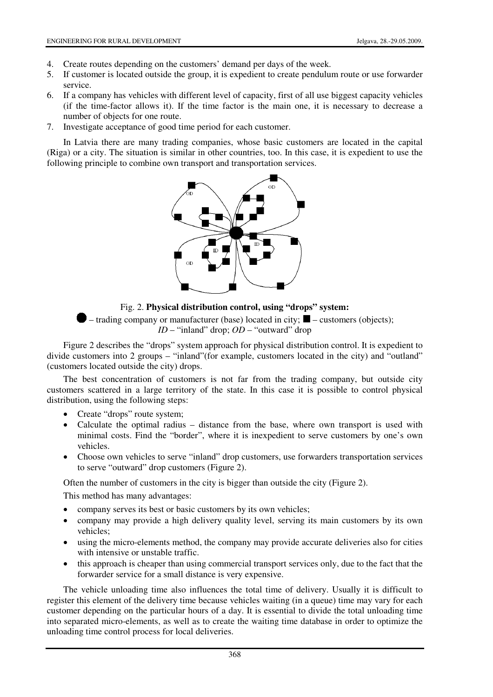- 4. Create routes depending on the customers' demand per days of the week.
- 5. If customer is located outside the group, it is expedient to create pendulum route or use forwarder service.
- 6. If a company has vehicles with different level of capacity, first of all use biggest capacity vehicles (if the time-factor allows it). If the time factor is the main one, it is necessary to decrease a number of objects for one route.
- 7. Investigate acceptance of good time period for each customer.

In Latvia there are many trading companies, whose basic customers are located in the capital (Riga) or a city. The situation is similar in other countries, too. In this case, it is expedient to use the following principle to combine own transport and transportation services.



## Fig. 2. **Physical distribution control, using "drops" system:**

 $\blacktriangleright$  – trading company or manufacturer (base) located in city;  $\blacktriangleright$  – customers (objects); *ID* – "inland" drop; *OD* – "outward" drop

Figure 2 describes the "drops" system approach for physical distribution control. It is expedient to divide customers into 2 groups – "inland"(for example, customers located in the city) and "outland" (customers located outside the city) drops.

The best concentration of customers is not far from the trading company, but outside city customers scattered in a large territory of the state. In this case it is possible to control physical distribution, using the following steps:

- Create "drops" route system;
- Calculate the optimal radius distance from the base, where own transport is used with minimal costs. Find the "border", where it is inexpedient to serve customers by one's own vehicles.
- Choose own vehicles to serve "inland" drop customers, use forwarders transportation services to serve "outward" drop customers (Figure 2).

Often the number of customers in the city is bigger than outside the city (Figure 2).

This method has many advantages:

- company serves its best or basic customers by its own vehicles;
- company may provide a high delivery quality level, serving its main customers by its own vehicles;
- using the micro-elements method, the company may provide accurate deliveries also for cities with intensive or unstable traffic.
- this approach is cheaper than using commercial transport services only, due to the fact that the forwarder service for a small distance is very expensive.

The vehicle unloading time also influences the total time of delivery. Usually it is difficult to register this element of the delivery time because vehicles waiting (in a queue) time may vary for each customer depending on the particular hours of a day. It is essential to divide the total unloading time into separated micro-elements, as well as to create the waiting time database in order to optimize the unloading time control process for local deliveries.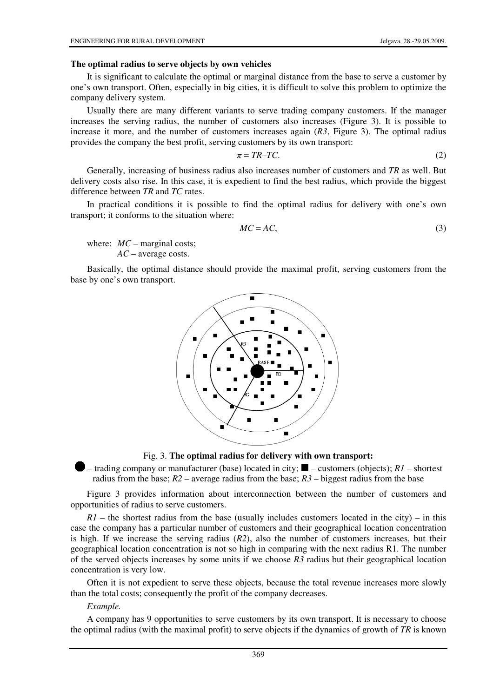#### **The optimal radius to serve objects by own vehicles**

It is significant to calculate the optimal or marginal distance from the base to serve a customer by one's own transport. Often, especially in big cities, it is difficult to solve this problem to optimize the company delivery system.

Usually there are many different variants to serve trading company customers. If the manager increases the serving radius, the number of customers also increases (Figure 3). It is possible to increase it more, and the number of customers increases again (*R3*, Figure 3). The optimal radius provides the company the best profit, serving customers by its own transport:

$$
\pi = TR - TC. \tag{2}
$$

Generally, increasing of business radius also increases number of customers and *TR* as well. But delivery costs also rise. In this case, it is expedient to find the best radius, which provide the biggest difference between *TR* and *TC* rates.

In practical conditions it is possible to find the optimal radius for delivery with one's own transport; it conforms to the situation where:

$$
MC = AC,\tag{3}
$$

where:  $MC$  – marginal costs;  *AC* – average costs.

Basically, the optimal distance should provide the maximal profit, serving customers from the base by one's own transport.



#### Fig. 3. **The optimal radius for delivery with own transport:**

 $\blacksquare$  – trading company or manufacturer (base) located in city;  $\blacksquare$  – customers (objects); *R1* – shortest radius from the base; *R2* – average radius from the base; *R3* – biggest radius from the base

Figure 3 provides information about interconnection between the number of customers and opportunities of radius to serve customers.

 $R1$  – the shortest radius from the base (usually includes customers located in the city) – in this case the company has a particular number of customers and their geographical location concentration is high. If we increase the serving radius (*R2*), also the number of customers increases, but their geographical location concentration is not so high in comparing with the next radius R1. The number of the served objects increases by some units if we choose *R3* radius but their geographical location concentration is very low.

Often it is not expedient to serve these objects, because the total revenue increases more slowly than the total costs; consequently the profit of the company decreases.

#### *Example.*

A company has 9 opportunities to serve customers by its own transport. It is necessary to choose the optimal radius (with the maximal profit) to serve objects if the dynamics of growth of *TR* is known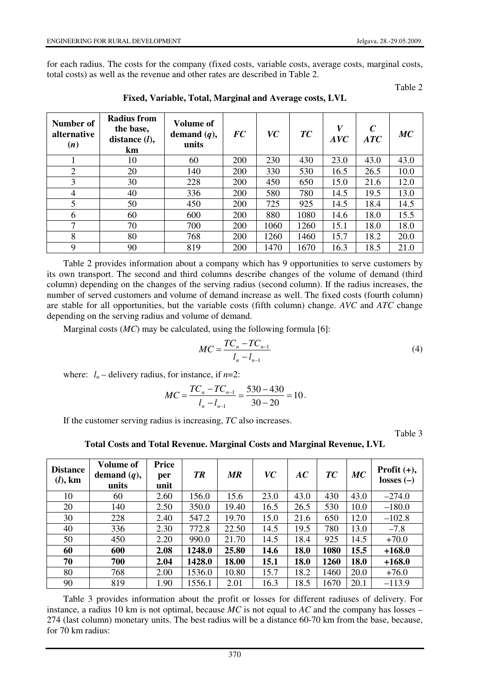for each radius. The costs for the company (fixed costs, variable costs, average costs, marginal costs, total costs) as well as the revenue and other rates are described in Table 2.

Table 2

| Number of<br>alternative<br>(n) | Radius from<br>the base,<br>distance $(l)$ ,<br>km | Volume of<br>demand $(q)$ ,<br>units | <b>FC</b>  | VC   | TC   | V<br>AVC | $\mathcal{C}$<br>$\boldsymbol{ATC}$ | MC   |
|---------------------------------|----------------------------------------------------|--------------------------------------|------------|------|------|----------|-------------------------------------|------|
|                                 | 10                                                 | 60                                   | 200        | 230  | 430  | 23.0     | 43.0                                | 43.0 |
| 2                               | 20                                                 | 140                                  | <b>200</b> | 330  | 530  | 16.5     | 26.5                                | 10.0 |
| 3                               | 30                                                 | 228                                  | 200        | 450  | 650  | 15.0     | 21.6                                | 12.0 |
| 4                               | 40                                                 | 336                                  | 200        | 580  | 780  | 14.5     | 19.5                                | 13.0 |
| 5                               | 50                                                 | 450                                  | <b>200</b> | 725  | 925  | 14.5     | 18.4                                | 14.5 |
| 6                               | 60                                                 | 600                                  | 200        | 880  | 1080 | 14.6     | 18.0                                | 15.5 |
| 7                               | 70                                                 | 700                                  | 200        | 1060 | 1260 | 15.1     | 18.0                                | 18.0 |
| 8                               | 80                                                 | 768                                  | 200        | 1260 | 1460 | 15.7     | 18.2                                | 20.0 |
| 9                               | 90                                                 | 819                                  | 200        | 1470 | 1670 | 16.3     | 18.5                                | 21.0 |

**Fixed, Variable, Total, Marginal and Average costs, LVL** 

Table 2 provides information about a company which has 9 opportunities to serve customers by its own transport. The second and third columns describe changes of the volume of demand (third column) depending on the changes of the serving radius (second column). If the radius increases, the number of served customers and volume of demand increase as well. The fixed costs (fourth column) are stable for all opportunities, but the variable costs (fifth column) change. *AVC* and *ATC* change depending on the serving radius and volume of demand.

Marginal costs (*MC*) may be calculated, using the following formula [6]:

$$
MC = \frac{TC_n - TC_{n-1}}{l_n - l_{n-1}}
$$
\n(4)

where:  $l_n$  – delivery radius, for instance, if  $n=2$ :

$$
MC = \frac{TC_n - TC_{n-1}}{l_n - l_{n-1}} = \frac{530 - 430}{30 - 20} = 10.
$$

If the customer serving radius is increasing, *TC* also increases.

Table 3

**Total Costs and Total Revenue. Marginal Costs and Marginal Revenue, LVL** 

| <b>Distance</b><br>$(l)$ , km | <b>Volume of</b><br>demand $(q)$ ,<br>units | Price<br>per<br>unit | <b>TR</b> | MR    | <b>VC</b> | AC   | TC   | MC   | Profit $(+)$ ,<br>losses $(-)$ |
|-------------------------------|---------------------------------------------|----------------------|-----------|-------|-----------|------|------|------|--------------------------------|
| 10                            | 60                                          | 2.60                 | 156.0     | 15.6  | 23.0      | 43.0 | 430  | 43.0 | $-274.0$                       |
| 20                            | 140                                         | 2.50                 | 350.0     | 19.40 | 16.5      | 26.5 | 530  | 10.0 | $-180.0$                       |
| 30                            | 228                                         | 2.40                 | 547.2     | 19.70 | 15.0      | 21.6 | 650  | 12.0 | $-102.8$                       |
| 40                            | 336                                         | 2.30                 | 772.8     | 22.50 | 14.5      | 19.5 | 780  | 13.0 | $-7.8$                         |
| 50                            | 450                                         | 2.20                 | 990.0     | 21.70 | 14.5      | 18.4 | 925  | 14.5 | $+70.0$                        |
| 60                            | 600                                         | 2.08                 | 1248.0    | 25.80 | 14.6      | 18.0 | 1080 | 15.5 | $+168.0$                       |
| 70                            | 700                                         | 2.04                 | 1428.0    | 18.00 | 15.1      | 18.0 | 1260 | 18.0 | $+168.0$                       |
| 80                            | 768                                         | 2.00                 | 1536.0    | 10.80 | 15.7      | 18.2 | 1460 | 20.0 | $+76.0$                        |
| 90                            | 819                                         | 1.90                 | 1556.1    | 2.01  | 16.3      | 18.5 | 1670 | 20.1 | $-113.9$                       |

Table 3 provides information about the profit or losses for different radiuses of delivery. For instance, a radius 10 km is not optimal, because *MC* is not equal to *AC* and the company has losses – 274 (last column) monetary units. The best radius will be a distance 60-70 km from the base, because, for 70 km radius: